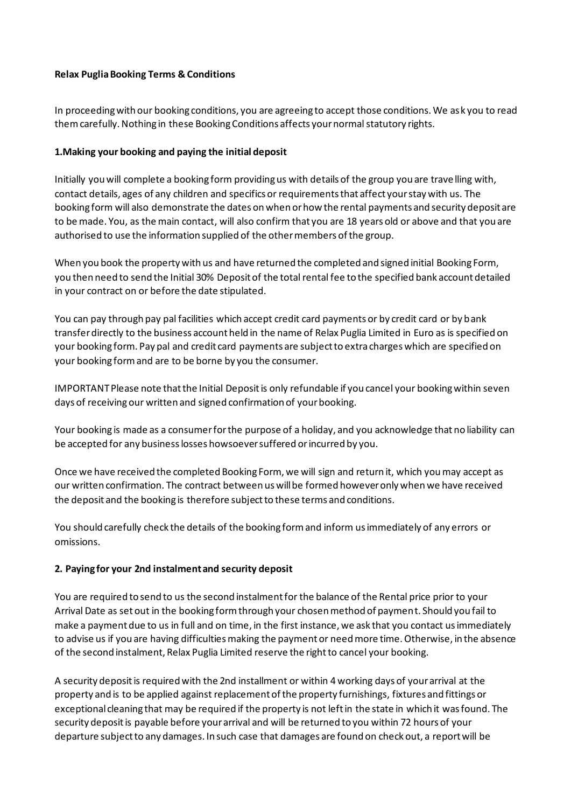## **Relax Puglia Booking Terms & Conditions**

In proceeding with our booking conditions, you are agreeing to accept those conditions. We ask you to read them carefully. Nothing in these Booking Conditions affects your normal statutory rights.

# **1.Making your booking and paying the initial deposit**

Initially you will complete a booking form providing us with details of the group you are trave lling with, contact details, ages of any children and specifics or requirements that affect your stay with us. The booking form will also demonstrate the dates on when or how the rental payments and security deposit are to be made. You, as the main contact, will also confirm that you are 18 years old or above and that you are authorised to use the information supplied of the other members of the group.

When you book the property with us and have returned the completed and signed initial Booking Form, you then need to send the Initial 30% Deposit of the total rental fee to the specified bank account detailed in your contract on or before the date stipulated.

You can pay through pay pal facilities which accept credit card payments or by credit card or by bank transfer directly to the business account held in the name of Relax Puglia Limited in Euro as is specified on your booking form. Pay pal and credit card payments are subject to extra charges which are specified on your booking form and are to be borne by you the consumer.

IMPORTANT Please note that the Initial Deposit is only refundable if you cancel your booking within seven days of receiving our written and signed confirmation of your booking.

Your booking is made as a consumer for the purpose of a holiday, and you acknowledge that no liability can be accepted for any business losses howsoever suffered or incurred by you.

Once we have received the completed Booking Form, we will sign and return it, which you may accept as our written confirmation. The contract between us will be formed however only when we have received the deposit and the booking is therefore subject to these terms and conditions.

You should carefully check the details of the booking form and inform us immediately of any errors or omissions.

## **2. Paying for your 2nd instalment and security deposit**

You are required to send to us the second instalment for the balance of the Rental price prior to your Arrival Date as set out in the booking form through your chosen method of payment. Should you fail to make a payment due to us in full and on time, in the first instance, we ask that you contact us immediately to advise us if you are having difficulties making the payment or need more time. Otherwise, in the absence of the second instalment, Relax Puglia Limited reserve the right to cancel your booking.

A security deposit is required with the 2nd installment or within 4 working days of your arrival at the property and is to be applied against replacement of the property furnishings, fixtures and fittings or exceptional cleaning that may be required if the property is not left in the state in which it was found. The security deposit is payable before your arrival and will be returned to you within 72 hours of your departure subject to any damages. In such case that damages are found on check out, a report will be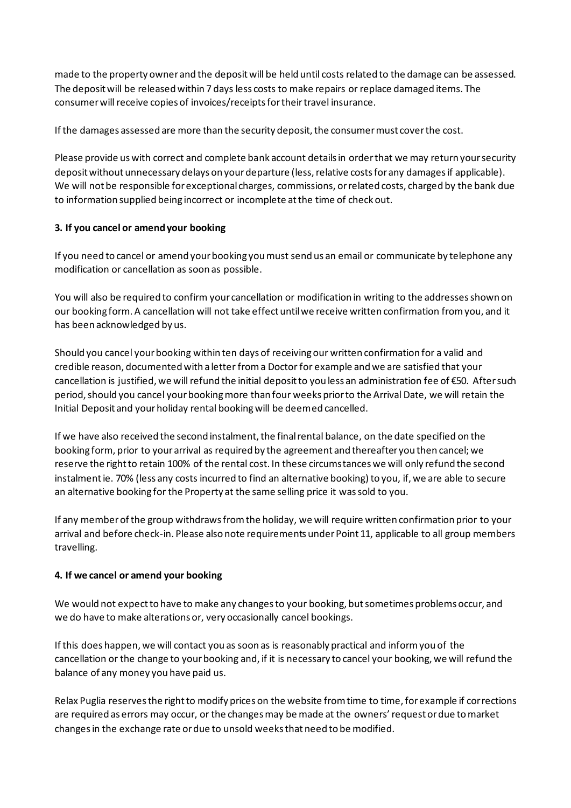made to the property owner and the deposit will be held until costs related to the damage can be assessed. The deposit will be released within 7 days less costs to make repairs or replace damaged items. The consumer will receive copies of invoices/receipts for their travel insurance.

If the damages assessed are more than the security deposit, the consumer must cover the cost.

Please provide us with correct and complete bank account details in order that we may return your security deposit without unnecessary delays on your departure (less, relative costs for any damages if applicable). We will not be responsible for exceptional charges, commissions, or related costs, charged by the bank due to information supplied being incorrect or incomplete at the time of check out.

# **3. If you cancel or amend your booking**

If you need to cancel or amend your booking you must send us an email or communicate by telephone any modification or cancellation as soon as possible.

You will also be required to confirm your cancellation or modification in writing to the addresses shown on our booking form. A cancellation will not take effect until we receive written confirmation from you, and it has been acknowledged by us.

Should you cancel your booking within ten days of receiving our written confirmation for a valid and credible reason, documented with a letter from a Doctor for example and we are satisfied that your cancellation is justified, we will refund the initial deposit to you less an administration fee of €50. After such period, should you cancel your booking more than four weeks prior to the Arrival Date, we will retain the Initial Deposit and your holiday rental booking will be deemed cancelled.

If we have also received the second instalment, the final rental balance, on the date specified on the booking form, prior to your arrival as required by the agreement and thereafter you then cancel; we reserve the right to retain 100% of the rental cost. In these circumstances we will only refund the second instalment ie. 70% (less any costs incurred to find an alternative booking) to you, if, we are able to secure an alternative booking for the Property at the same selling price it was sold to you.

If any member of the group withdraws from the holiday, we will require written confirmation prior to your arrival and before check-in. Please also note requirements under Point 11, applicable to all group members travelling.

## **4. If we cancel or amend your booking**

We would not expect to have to make any changes to your booking, but sometimes problems occur, and we do have to make alterations or, very occasionally cancel bookings.

If this does happen, we will contact you as soon as is reasonably practical and inform you of the cancellation or the change to your booking and, if it is necessary to cancel your booking, we will refund the balance of any money you have paid us.

Relax Puglia reserves the right to modify prices on the website from time to time, for example if corrections are required as errors may occur, or the changes may be made at the owners'request or due to market changes in the exchange rate or due to unsold weeks that need to be modified.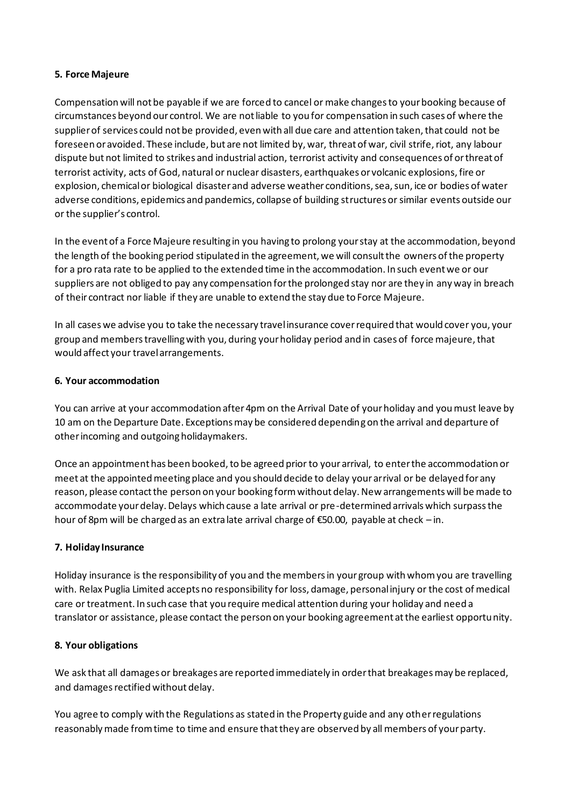#### **5. Force Majeure**

Compensation will not be payable if we are forced to cancel or make changes to your booking because of circumstances beyond our control. We are not liable to you for compensation in such cases of where the supplier of services could not be provided, even with all due care and attention taken, that could not be foreseen or avoided. These include, but are not limited by, war, threat of war, civil strife, riot, any labour dispute but not limited to strikes and industrial action, terrorist activity and consequences of or threat of terrorist activity, acts of God, natural or nuclear disasters, earthquakes or volcanic explosions, fire or explosion, chemical or biological disaster and adverse weather conditions, sea, sun, ice or bodies of water adverse conditions, epidemics and pandemics, collapse of building structures or similar events outside our or the supplier's control.

In the event of a Force Majeure resulting in you having to prolong your stay at the accommodation, beyond the length of the booking period stipulated in the agreement, we will consult the owners of the property for a pro rata rate to be applied to the extended time in the accommodation. In such event we or our suppliers are not obliged to pay any compensation for the prolonged stay nor are they in any way in breach of their contract nor liable if they are unable to extend the stay due to Force Majeure.

In all cases we advise you to take the necessary travel insurance cover required that would cover you, your group and members travelling with you, during your holiday period and in cases of force majeure, that would affect your travel arrangements.

#### **6. Your accommodation**

You can arrive at your accommodation after 4pm on the Arrival Date of your holiday and you must leave by 10 am on the Departure Date. Exceptions may be considered depending on the arrival and departure of other incoming and outgoing holidaymakers.

Once an appointment has been booked, to be agreed prior to your arrival, to enter the accommodation or meet at the appointed meeting place and you should decide to delay your arrival or be delayed for any reason, please contact the person on your booking form without delay. New arrangements will be made to accommodate your delay. Delays which cause a late arrival or pre-determined arrivals which surpass the hour of 8pm will be charged as an extra late arrival charge of €50.00, payable at check – in.

## **7. Holiday Insurance**

Holiday insurance is the responsibility of you and the members in your group with whom you are travelling with. Relax Puglia Limited accepts no responsibility for loss, damage, personal injury or the cost of medical care or treatment. In such case that you require medical attention during your holiday and need a translator or assistance, please contact the person on your booking agreement at the earliest opportunity.

#### **8. Your obligations**

We ask that all damages or breakages are reported immediately in order that breakages may be replaced, and damages rectified without delay.

You agree to comply with the Regulations as stated in the Property guide and any other regulations reasonably made from time to time and ensure that they are observed by all members of your party.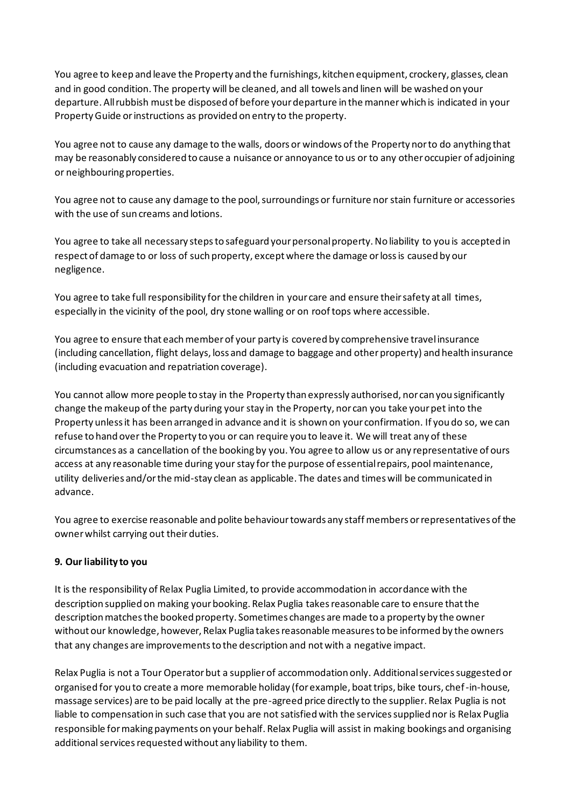You agree to keep and leave the Property and the furnishings, kitchen equipment, crockery, glasses, clean and in good condition. The property will be cleaned, and all towels and linen will be washed on your departure. All rubbish must be disposed of before your departure in the manner which is indicated in your Property Guide or instructions as provided on entry to the property.

You agree not to cause any damage to the walls, doors or windows of the Property nor to do anything that may be reasonably considered to cause a nuisance or annoyance to us or to any other occupier of adjoining or neighbouring properties.

You agree not to cause any damage to the pool, surroundings or furniture nor stain furniture or accessories with the use of sun creams and lotions.

You agree to take all necessary steps to safeguard your personal property. No liability to you is accepted in respect of damage to or loss of such property, except where the damage or loss is caused by our negligence.

You agree to take full responsibility for the children in your care and ensure their safety at all times, especially in the vicinity of the pool, dry stone walling or on roof tops where accessible.

You agree to ensure that each member of your party is covered by comprehensive travel insurance (including cancellation, flight delays, loss and damage to baggage and other property) and health insurance (including evacuation and repatriation coverage).

You cannot allow more people to stay in the Property than expressly authorised, nor can you significantly change the makeup of the party during your stay in the Property, nor can you take your pet into the Property unless it has been arranged in advance and it is shown on your confirmation. If you do so, we can refuse to hand over the Property to you or can require you to leave it. We will treat any of these circumstances as a cancellation of the booking by you. You agree to allow us or any representative of ours access at any reasonable time during your stay for the purpose of essential repairs, pool maintenance, utility deliveries and/or the mid-stay clean as applicable. The dates and times will be communicated in advance.

You agree to exercise reasonable and polite behaviour towards any staff members or representatives of the owner whilst carrying out their duties.

## **9. Our liability to you**

It is the responsibility of Relax Puglia Limited, to provide accommodation in accordance with the description supplied on making your booking. Relax Puglia takes reasonable care to ensure that the description matches the booked property. Sometimes changes are made to a property by the owner without our knowledge, however, Relax Puglia takes reasonable measures to be informed by the owners that any changes are improvements to the description and not with a negative impact.

Relax Puglia is not a Tour Operator but a supplier of accommodation only. Additional services suggested or organised for you to create a more memorable holiday (for example, boat trips, bike tours, chef-in-house, massage services) are to be paid locally at the pre-agreed price directly to the supplier. Relax Puglia is not liable to compensation in such case that you are not satisfied with the services supplied nor is Relax Puglia responsible for making payments on your behalf. Relax Puglia will assist in making bookings and organising additional services requested without any liability to them.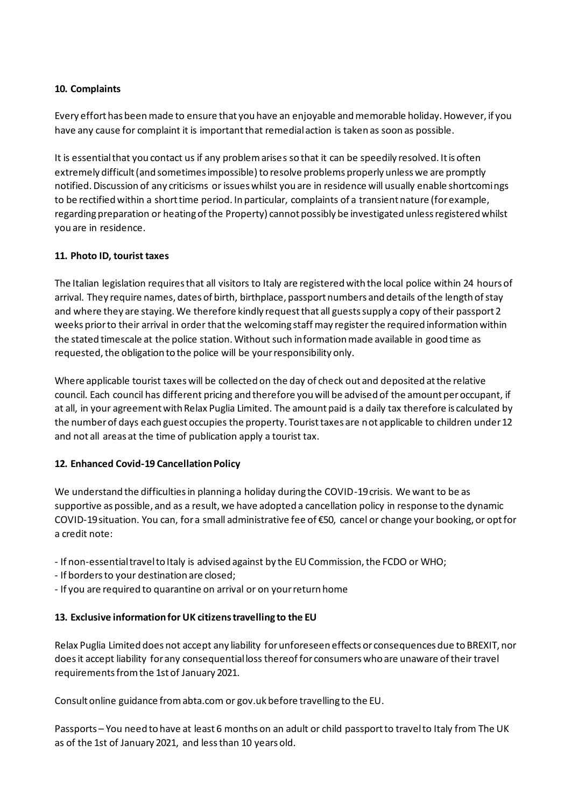# **10. Complaints**

Every effort has been made to ensure that you have an enjoyable and memorable holiday. However, if you have any cause for complaint it is important that remedial action is taken as soon as possible.

It is essential that you contact us if any problem arises so that it can be speedily resolved. It is often extremely difficult (and sometimes impossible) to resolve problems properly unless we are promptly notified. Discussion of any criticisms or issues whilst you are in residence will usually enable shortcomings to be rectified within a short time period. In particular, complaints of a transient nature (for example, regarding preparation or heating of the Property) cannot possibly be investigated unless registered whilst you are in residence.

# **11. Photo ID, tourist taxes**

The Italian legislation requires that all visitors to Italy are registered with the local police within 24 hours of arrival. They require names, dates of birth, birthplace, passport numbers and details of the length of stay and where they are staying. We therefore kindly request that all guests supply a copy of their passport 2 weeks prior to their arrival in order that the welcoming staff may register the required information within the stated timescale at the police station. Without such information made available in good time as requested, the obligation to the police will be your responsibility only.

Where applicable tourist taxes will be collected on the day of check out and deposited at the relative council. Each council has different pricing and therefore you will be advised of the amount per occupant, if at all, in your agreement with Relax Puglia Limited. The amount paid is a daily tax therefore is calculated by the number of days each guest occupies the property. Tourist taxes are not applicable to children under 12 and not all areas at the time of publication apply a tourist tax.

## **12. Enhanced Covid-19 Cancellation Policy**

We understand the difficulties in planning a holiday during the COVID-19 crisis. We want to be as supportive as possible, and as a result, we have adopted a cancellation policy in response to the dynamic COVID-19 situation. You can, for a small administrative fee of €50, cancel or change your booking, or opt for a credit note:

- If non-essential travel to Italy is advised against by the EU Commission, the FCDO or WHO;
- If borders to your destination are closed;
- If you are required to quarantine on arrival or on your return home

## **13. Exclusive information for UK citizens travelling to the EU**

Relax Puglia Limited does not accept any liability for unforeseen effects or consequences due to BREXIT, nor does it accept liability for any consequential loss thereof for consumers who are unaware of their travel requirements from the 1st of January 2021.

Consult online guidance from abta.com or gov.uk before travelling to the EU.

Passports – You need to have at least 6 months on an adult or child passport to travel to Italy from The UK as of the 1st of January 2021, and less than 10 years old.